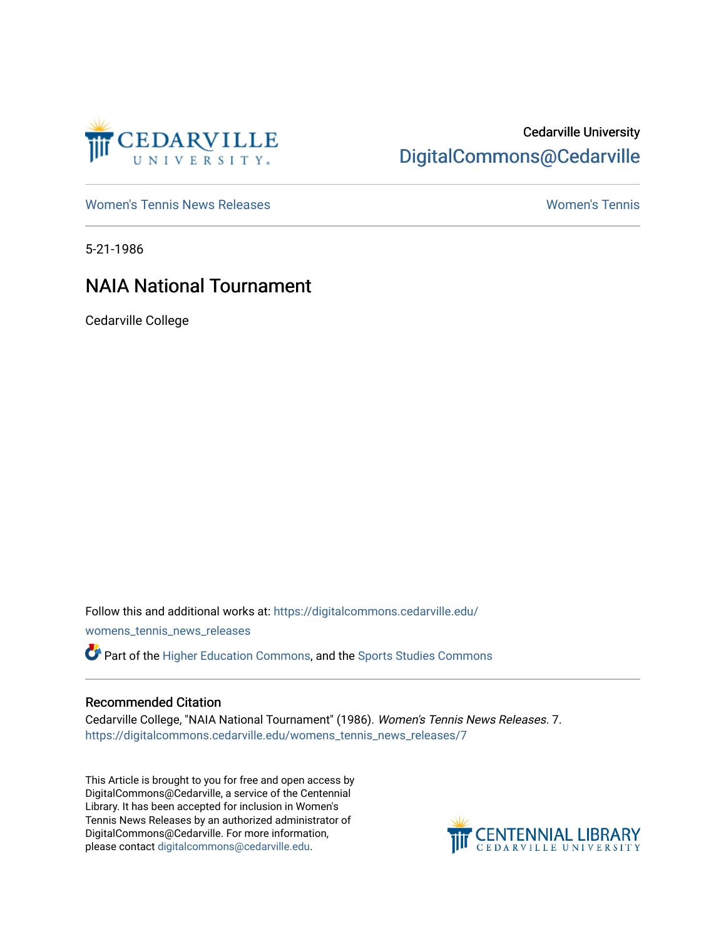

# Cedarville University [DigitalCommons@Cedarville](https://digitalcommons.cedarville.edu/)

[Women's Tennis News Releases](https://digitalcommons.cedarville.edu/womens_tennis_news_releases) [Women's Tennis](https://digitalcommons.cedarville.edu/womens_tennis) 

5-21-1986

# NAIA National Tournament

Cedarville College

Follow this and additional works at: [https://digitalcommons.cedarville.edu/](https://digitalcommons.cedarville.edu/womens_tennis_news_releases?utm_source=digitalcommons.cedarville.edu%2Fwomens_tennis_news_releases%2F7&utm_medium=PDF&utm_campaign=PDFCoverPages) [womens\\_tennis\\_news\\_releases](https://digitalcommons.cedarville.edu/womens_tennis_news_releases?utm_source=digitalcommons.cedarville.edu%2Fwomens_tennis_news_releases%2F7&utm_medium=PDF&utm_campaign=PDFCoverPages) 

Part of the [Higher Education Commons,](http://network.bepress.com/hgg/discipline/1245?utm_source=digitalcommons.cedarville.edu%2Fwomens_tennis_news_releases%2F7&utm_medium=PDF&utm_campaign=PDFCoverPages) and the [Sports Studies Commons](http://network.bepress.com/hgg/discipline/1198?utm_source=digitalcommons.cedarville.edu%2Fwomens_tennis_news_releases%2F7&utm_medium=PDF&utm_campaign=PDFCoverPages) 

## Recommended Citation

Cedarville College, "NAIA National Tournament" (1986). Women's Tennis News Releases. 7. [https://digitalcommons.cedarville.edu/womens\\_tennis\\_news\\_releases/7](https://digitalcommons.cedarville.edu/womens_tennis_news_releases/7?utm_source=digitalcommons.cedarville.edu%2Fwomens_tennis_news_releases%2F7&utm_medium=PDF&utm_campaign=PDFCoverPages) 

This Article is brought to you for free and open access by DigitalCommons@Cedarville, a service of the Centennial Library. It has been accepted for inclusion in Women's Tennis News Releases by an authorized administrator of DigitalCommons@Cedarville. For more information, please contact [digitalcommons@cedarville.edu](mailto:digitalcommons@cedarville.edu).